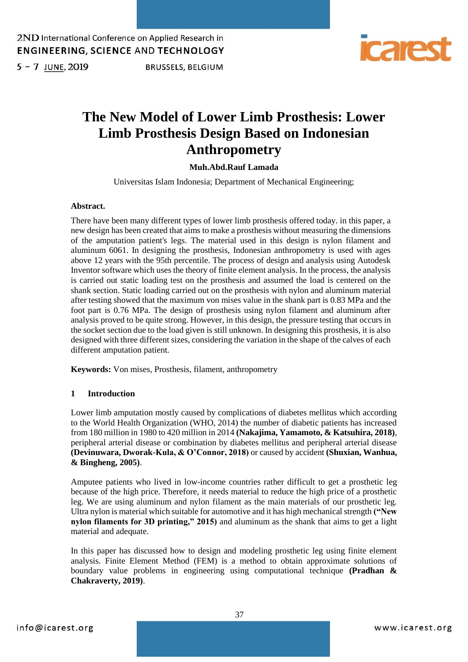

 $5 - 7$  JUNE, 2019

**BRUSSELS, BELGIUM** 

# **The New Model of Lower Limb Prosthesis: Lower Limb Prosthesis Design Based on Indonesian Anthropometry**

# **Muh.Abd.Rauf Lamada**

Universitas Islam Indonesia; Department of Mechanical Engineering;

#### **Abstract.**

There have been many different types of lower limb prosthesis offered today. in this paper, a new design has been created that aims to make a prosthesis without measuring the dimensions of the amputation patient's legs. The material used in this design is nylon filament and aluminum 6061. In designing the prosthesis, Indonesian anthropometry is used with ages above 12 years with the 95th percentile. The process of design and analysis using Autodesk Inventor software which uses the theory of finite element analysis. In the process, the analysis is carried out static loading test on the prosthesis and assumed the load is centered on the shank section. Static loading carried out on the prosthesis with nylon and aluminum material after testing showed that the maximum von mises value in the shank part is 0.83 MPa and the foot part is 0.76 MPa. The design of prosthesis using nylon filament and aluminum after analysis proved to be quite strong. However, in this design, the pressure testing that occurs in the socket section due to the load given is still unknown. In designing this prosthesis, it is also designed with three different sizes, considering the variation in the shape of the calves of each different amputation patient.

**Keywords:** Von mises, Prosthesis, filament, anthropometry

### **1 Introduction**

Lower limb amputation mostly caused by complications of diabetes mellitus which according to the World Health Organization (WHO, 2014) the number of diabetic patients has increased from 180 million in 1980 to 420 million in 2014 **(Nakajima, Yamamoto, & Katsuhira, 2018)**, peripheral arterial disease or combination by diabetes mellitus and peripheral arterial disease **(Devinuwara, Dworak-Kula, & O'Connor, 2018)** or caused by accident **(Shuxian, Wanhua, & Bingheng, 2005)**.

Amputee patients who lived in low-income countries rather difficult to get a prosthetic leg because of the high price. Therefore, it needs material to reduce the high price of a prosthetic leg. We are using aluminum and nylon filament as the main materials of our prosthetic leg. Ultra nylon is material which suitable for automotive and it has high mechanical strength **("New nylon filaments for 3D printing," 2015)** and aluminum as the shank that aims to get a light material and adequate.

In this paper has discussed how to design and modeling prosthetic leg using finite element analysis. Finite Element Method (FEM) is a method to obtain approximate solutions of boundary value problems in engineering using computational technique **(Pradhan & Chakraverty, 2019)**.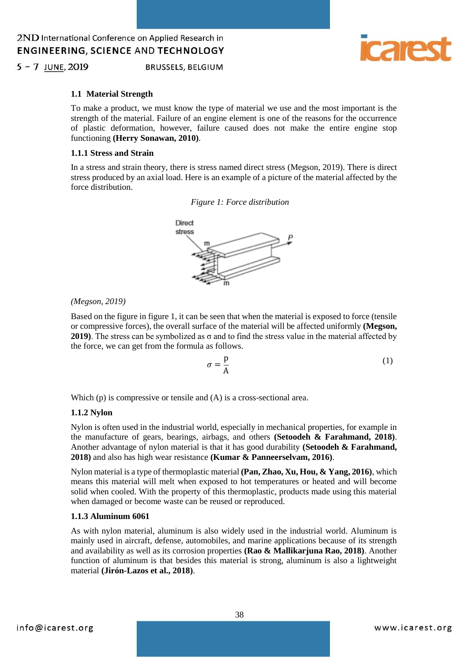$5 - 7$  JUNE, 2019 **BRUSSELS, BELGIUM** 



### **1.1 Material Strength**

To make a product, we must know the type of material we use and the most important is the strength of the material. Failure of an engine element is one of the reasons for the occurrence of plastic deformation, however, failure caused does not make the entire engine stop functioning **(Herry Sonawan, 2010)**.

## **1.1.1 Stress and Strain**

In a stress and strain theory, there is stress named direct stress (Megson, 2019). There is direct stress produced by an axial load. Here is an example of a picture of the material affected by the force distribution.





#### *(Megson, 2019)*

Based on the figure in figure 1, it can be seen that when the material is exposed to force (tensile or compressive forces), the overall surface of the material will be affected uniformly **(Megson, 2019)**. The stress can be symbolized as σ and to find the stress value in the material affected by the force, we can get from the formula as follows.

$$
\sigma = \frac{p}{A} \tag{1}
$$

Which (p) is compressive or tensile and (A) is a cross-sectional area.

#### **1.1.2 Nylon**

Nylon is often used in the industrial world, especially in mechanical properties, for example in the manufacture of gears, bearings, airbags, and others **(Setoodeh & Farahmand, 2018)**. Another advantage of nylon material is that it has good durability **(Setoodeh & Farahmand, 2018)** and also has high wear resistance **(Kumar & Panneerselvam, 2016)**.

Nylon material is a type of thermoplastic material **(Pan, Zhao, Xu, Hou, & Yang, 2016)**, which means this material will melt when exposed to hot temperatures or heated and will become solid when cooled. With the property of this thermoplastic, products made using this material when damaged or become waste can be reused or reproduced.

#### **1.1.3 Aluminum 6061**

As with nylon material, aluminum is also widely used in the industrial world. Aluminum is mainly used in aircraft, defense, automobiles, and marine applications because of its strength and availability as well as its corrosion properties **(Rao & Mallikarjuna Rao, 2018)**. Another function of aluminum is that besides this material is strong, aluminum is also a lightweight material **(Jirón-Lazos et al., 2018)**.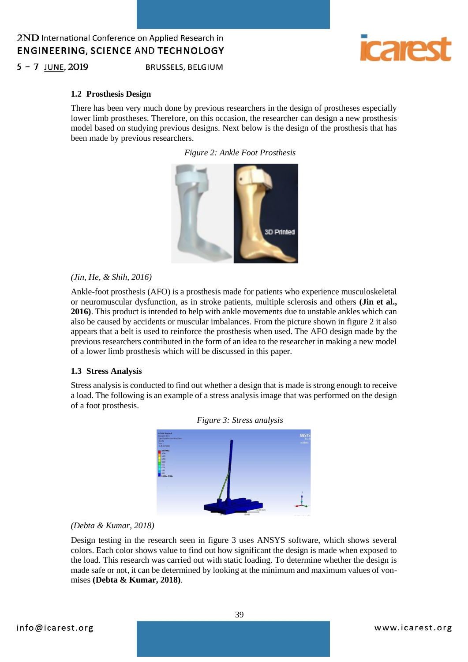

 $5 - 7$  JUNE, 2019

**BRUSSELS, BELGIUM** 

### **1.2 Prosthesis Design**

There has been very much done by previous researchers in the design of prostheses especially lower limb prostheses. Therefore, on this occasion, the researcher can design a new prosthesis model based on studying previous designs. Next below is the design of the prosthesis that has been made by previous researchers.

*Figure 2: Ankle Foot Prosthesis*



#### *(Jin, He, & Shih, 2016)*

Ankle-foot prosthesis (AFO) is a prosthesis made for patients who experience musculoskeletal or neuromuscular dysfunction, as in stroke patients, multiple sclerosis and others **(Jin et al., 2016)**. This product is intended to help with ankle movements due to unstable ankles which can also be caused by accidents or muscular imbalances. From the picture shown in figure 2 it also appears that a belt is used to reinforce the prosthesis when used. The AFO design made by the previous researchers contributed in the form of an idea to the researcher in making a new model of a lower limb prosthesis which will be discussed in this paper.

### **1.3 Stress Analysis**

Stress analysis is conducted to find out whether a design that is made is strong enough to receive a load. The following is an example of a stress analysis image that was performed on the design of a foot prosthesis.





### *(Debta & Kumar, 2018)*

Design testing in the research seen in figure 3 uses ANSYS software, which shows several colors. Each color shows value to find out how significant the design is made when exposed to the load. This research was carried out with static loading. To determine whether the design is made safe or not, it can be determined by looking at the minimum and maximum values of vonmises **(Debta & Kumar, 2018)**.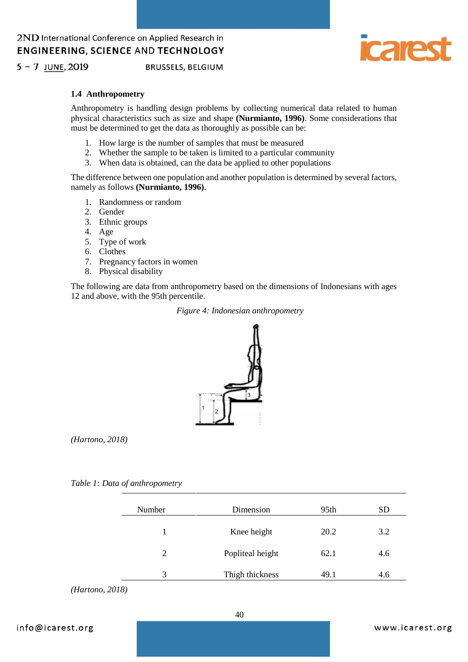

 $5 - 7$  JUNE, 2019

**BRUSSELS, BELGIUM** 

### **1.4 Anthropometry**

Anthropometry is handling design problems by collecting numerical data related to human physical characteristics such as size and shape **(Nurmianto, 1996)**. Some considerations that must be determined to get the data as thoroughly as possible can be:

- 1. How large is the number of samples that must be measured
- 2. Whether the sample to be taken is limited to a particular community
- 3. When data is obtained, can the data be applied to other populations

The difference between one population and another population is determined by several factors, namely as follows **(Nurmianto, 1996)**.

- 1. Randomness or random
- 2. Gender
- 3. Ethnic groups
- 4. Age
- 5. Type of work
- 6. Clothes
- 7. Pregnancy factors in women
- 8. Physical disability

The following are data from anthropometry based on the dimensions of Indonesians with ages 12 and above, with the 95th percentile.

#### *Figure 4: Indonesian anthropometry*



*(Hartono, 2018)*

*Table 1: Data of anthropometry*

| Number        | Dimension        | 95th | <b>SD</b> |
|---------------|------------------|------|-----------|
| 1             | Knee height      | 20.2 | 3.2       |
| 2             | Popliteal height | 62.1 | 4.6       |
| $\mathcal{R}$ | Thigh thickness  | 49.1 | 4.6       |

*(Hartono, 2018)*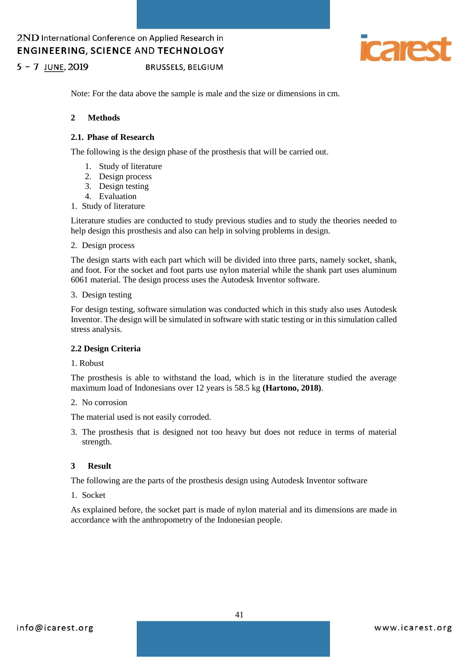

 $5 - 7$  JUNE, 2019 **BRUSSELS, BELGIUM** 

Note: For the data above the sample is male and the size or dimensions in cm.

#### **2 Methods**

#### **2.1. Phase of Research**

The following is the design phase of the prosthesis that will be carried out.

- 1. Study of literature
- 2. Design process
- 3. Design testing
- 4. Evaluation
- 1. Study of literature

Literature studies are conducted to study previous studies and to study the theories needed to help design this prosthesis and also can help in solving problems in design.

2. Design process

The design starts with each part which will be divided into three parts, namely socket, shank, and foot. For the socket and foot parts use nylon material while the shank part uses aluminum 6061 material. The design process uses the Autodesk Inventor software.

#### 3. Design testing

For design testing, software simulation was conducted which in this study also uses Autodesk Inventor. The design will be simulated in software with static testing or in this simulation called stress analysis.

### **2.2 Design Criteria**

#### 1. Robust

The prosthesis is able to withstand the load, which is in the literature studied the average maximum load of Indonesians over 12 years is 58.5 kg **(Hartono, 2018)**.

#### 2. No corrosion

The material used is not easily corroded.

3. The prosthesis that is designed not too heavy but does not reduce in terms of material strength.

### **3 Result**

The following are the parts of the prosthesis design using Autodesk Inventor software

1. Socket

As explained before, the socket part is made of nylon material and its dimensions are made in accordance with the anthropometry of the Indonesian people.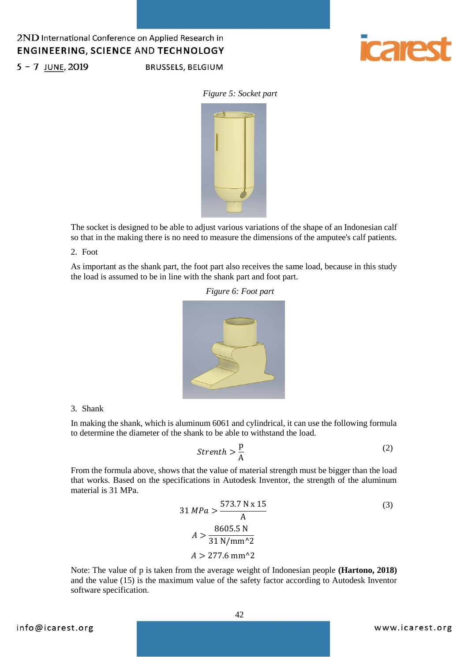

**BRUSSELS, BELGIUM** 



*Figure 5: Socket part*



The socket is designed to be able to adjust various variations of the shape of an Indonesian calf so that in the making there is no need to measure the dimensions of the amputee's calf patients.

2. Foot

As important as the shank part, the foot part also receives the same load, because in this study the load is assumed to be in line with the shank part and foot part.



#### 3. Shank

In making the shank, which is aluminum 6061 and cylindrical, it can use the following formula to determine the diameter of the shank to be able to withstand the load.

$$
Strenth > \frac{p}{A}
$$
 (2)

From the formula above, shows that the value of material strength must be bigger than the load that works. Based on the specifications in Autodesk Inventor, the strength of the aluminum material is 31 MPa.

$$
31 MPa > \frac{573.7 N \times 15}{A}
$$
\n
$$
A > \frac{8605.5 N}{31 N/mm^2}
$$
\n
$$
A > 277.6 mm^2
$$
\n(3)

Note: The value of p is taken from the average weight of Indonesian people **(Hartono, 2018)** and the value (15) is the maximum value of the safety factor according to Autodesk Inventor software specification.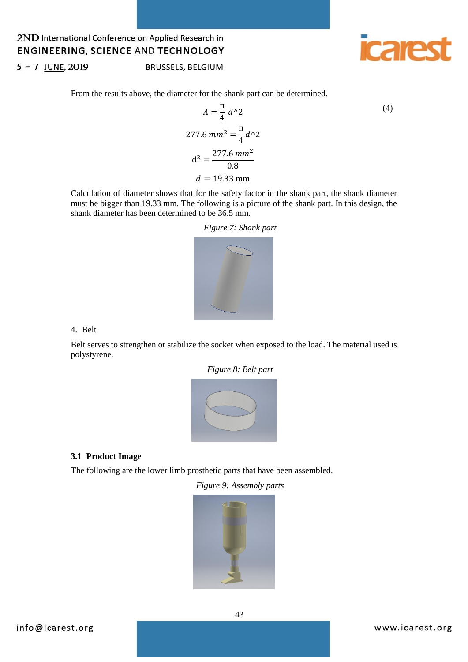

 $5 - 7$  JUNE, 2019

BRUSSELS, BELGIUM

From the results above, the diameter for the shank part can be determined.

$$
A = \frac{\pi}{4} d^2
$$
\n
$$
277.6 \, mm^2 = \frac{\pi}{4} d^2
$$
\n
$$
d^2 = \frac{277.6 \, mm^2}{0.8}
$$
\n
$$
d = 19.33 \, mm
$$
\n(4)

Calculation of diameter shows that for the safety factor in the shank part, the shank diameter must be bigger than 19.33 mm. The following is a picture of the shank part. In this design, the shank diameter has been determined to be 36.5 mm.

*Figure 7: Shank part*



4. Belt

Belt serves to strengthen or stabilize the socket when exposed to the load. The material used is polystyrene.



### **3.1 Product Image**

The following are the lower limb prosthetic parts that have been assembled.

*Figure 9: Assembly parts*

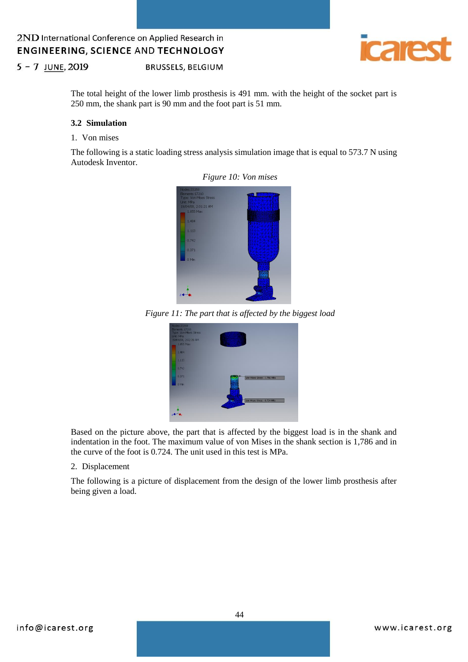

 $5 - 7$  JUNE, 2019 BRUSSELS, BELGIUM

> The total height of the lower limb prosthesis is 491 mm. with the height of the socket part is 250 mm, the shank part is 90 mm and the foot part is 51 mm.

#### **3.2 Simulation**

### 1. Von mises

The following is a static loading stress analysis simulation image that is equal to 573.7 N using Autodesk Inventor.





*Figure 11: The part that is affected by the biggest load* 



Based on the picture above, the part that is affected by the biggest load is in the shank and indentation in the foot. The maximum value of von Mises in the shank section is 1,786 and in the curve of the foot is 0.724. The unit used in this test is MPa.

#### 2. Displacement

The following is a picture of displacement from the design of the lower limb prosthesis after being given a load.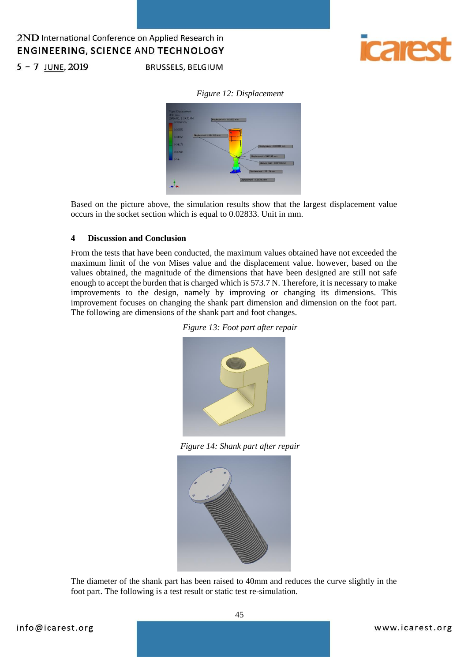

 $5 - 7$  JUNE, 2019

# **BRUSSELS, BELGIUM**

# *Figure 12: Displacement*



Based on the picture above, the simulation results show that the largest displacement value occurs in the socket section which is equal to 0.02833. Unit in mm.

### **4 Discussion and Conclusion**

From the tests that have been conducted, the maximum values obtained have not exceeded the maximum limit of the von Mises value and the displacement value. however, based on the values obtained, the magnitude of the dimensions that have been designed are still not safe enough to accept the burden that is charged which is 573.7 N. Therefore, it is necessary to make improvements to the design, namely by improving or changing its dimensions. This improvement focuses on changing the shank part dimension and dimension on the foot part. The following are dimensions of the shank part and foot changes.





*Figure 14: Shank part after repair*



The diameter of the shank part has been raised to 40mm and reduces the curve slightly in the foot part. The following is a test result or static test re-simulation.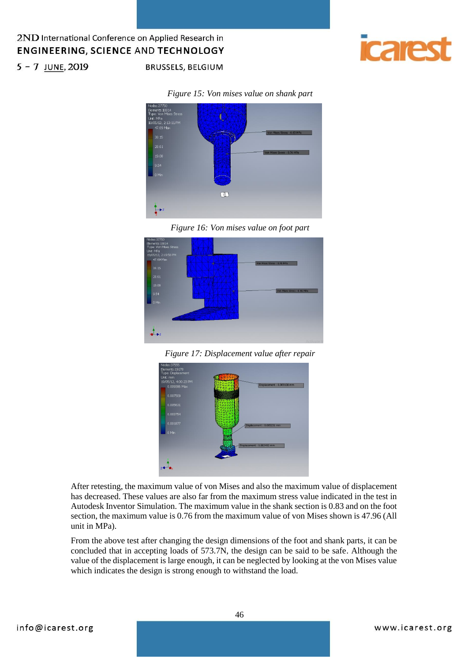

# $5 - 7$  JUNE, 2019

#### *Figure 15: Von mises value on shank part*

**BRUSSELS, BELGIUM** 







*Figure 17: Displacement value after repair*



After retesting, the maximum value of von Mises and also the maximum value of displacement has decreased. These values are also far from the maximum stress value indicated in the test in Autodesk Inventor Simulation. The maximum value in the shank section is 0.83 and on the foot section, the maximum value is 0.76 from the maximum value of von Mises shown is 47.96 (All unit in MPa).

From the above test after changing the design dimensions of the foot and shank parts, it can be concluded that in accepting loads of 573.7N, the design can be said to be safe. Although the value of the displacement is large enough, it can be neglected by looking at the von Mises value which indicates the design is strong enough to withstand the load.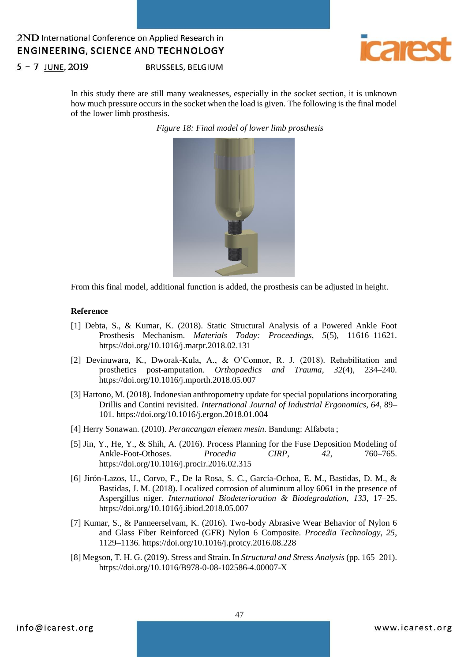

 $5 - 7$  JUNE, 2019

**BRUSSELS, BELGIUM** 

In this study there are still many weaknesses, especially in the socket section, it is unknown how much pressure occurs in the socket when the load is given. The following is the final model of the lower limb prosthesis.

*Figure 18: Final model of lower limb prosthesis*



From this final model, additional function is added, the prosthesis can be adjusted in height.

#### **Reference**

- [1] Debta, S., & Kumar, K. (2018). Static Structural Analysis of a Powered Ankle Foot Prosthesis Mechanism. *Materials Today: Proceedings*, *5*(5), 11616–11621. https://doi.org/10.1016/j.matpr.2018.02.131
- [2] Devinuwara, K., Dworak-Kula, A., & O'Connor, R. J. (2018). Rehabilitation and prosthetics post-amputation. *Orthopaedics and Trauma*, *32*(4), 234–240. https://doi.org/10.1016/j.mporth.2018.05.007
- [3] Hartono, M. (2018). Indonesian anthropometry update for special populations incorporating Drillis and Contini revisited. *International Journal of Industrial Ergonomics*, *64*, 89– 101. https://doi.org/10.1016/j.ergon.2018.01.004
- [4] Herry Sonawan. (2010). *Perancangan elemen mesin*. Bandung: Alfabeta ;
- [5] Jin, Y., He, Y., & Shih, A. (2016). Process Planning for the Fuse Deposition Modeling of Ankle-Foot-Othoses. *Procedia CIRP*, *42*, 760–765. https://doi.org/10.1016/j.procir.2016.02.315
- [6] Jirón-Lazos, U., Corvo, F., De la Rosa, S. C., García-Ochoa, E. M., Bastidas, D. M., & Bastidas, J. M. (2018). Localized corrosion of aluminum alloy 6061 in the presence of Aspergillus niger. *International Biodeterioration & Biodegradation*, *133*, 17–25. https://doi.org/10.1016/j.ibiod.2018.05.007
- [7] Kumar, S., & Panneerselvam, K. (2016). Two-body Abrasive Wear Behavior of Nylon 6 and Glass Fiber Reinforced (GFR) Nylon 6 Composite. *Procedia Technology*, *25*, 1129–1136. https://doi.org/10.1016/j.protcy.2016.08.228
- [8] Megson, T. H. G. (2019). Stress and Strain. In *Structural and Stress Analysis* (pp. 165–201). https://doi.org/10.1016/B978-0-08-102586-4.00007-X